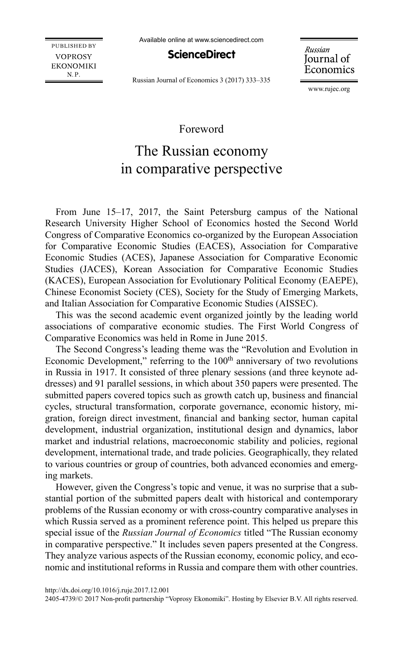Available online at www.sciencedirect.com

**PUBLISHED BY VOPROSY EKONOMIKI** N.P.

ScienceDirect

Russian Journal of Economics

Russian Journal of Economics 3 (2017) 333–335

www.rujec.org

## Foreword

## The Russian economy in comparative perspective

From June 15–17, 2017, the Saint Petersburg campus of the National Research University Higher School of Economics hosted the Second World Congress of Comparative Economics co-organized by the European Association for Comparative Economic Studies (EACES), Association for Comparative Economic Studies (ACES), Japanese Association for Comparative Economic Studies (JACES), Korean Association for Comparative Economic Studies (KACES), European Association for Evolutionary Political Economy (EAEPE), Chinese Economist Society (CES), Society for the Study of Emerging Markets, and Italian Association for Comparative Economic Studies (AISSEC).

This was the second academic event organized jointly by the leading world associations of comparative economic studies. The First World Congress of Comparative Economics was held in Rome in June 2015.

The Second Congress's leading theme was the "Revolution and Evolution in Economic Development," referring to the 100<sup>th</sup> anniversary of two revolutions in Russia in 1917. It consisted of three plenary sessions (and three keynote addresses) and 91 parallel sessions, in which about 350 papers were presented. The submitted papers covered topics such as growth catch up, business and financial cycles, structural transformation, corporate governance, economic history, migration, foreign direct investment, financial and banking sector, human capital development, industrial organization, institutional design and dynamics, labor market and industrial relations, macroeconomic stability and policies, regional development, international trade, and trade policies. Geographically, they related to various countries or group of countries, both advanced economies and emerging markets.

However, given the Congress's topic and venue, it was no surprise that a substantial portion of the submitted papers dealt with historical and contemporary problems of the Russian economy or with cross-country comparative analyses in which Russia served as a prominent reference point. This helped us prepare this special issue of the *Russian Journal of Economics* titled "The Russian economy in comparative perspective." It includes seven papers presented at the Congress. They analyze various aspects of the Russian economy, economic policy, and economic and institutional reforms in Russia and compare them with other countries.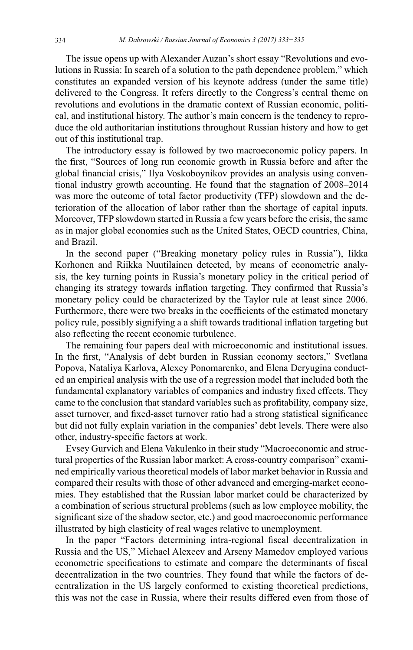The issue opens up with Alexander Auzan's short essay "Revolutions and evolutions in Russia: In search of a solution to the path dependence problem," which constitutes an expanded version of his keynote address (under the same title) delivered to the Congress. It refers directly to the Congress's central theme on revolutions and evolutions in the dramatic context of Russian economic, political, and institutional history. The author's main concern is the tendency to reproduce the old authoritarian institutions throughout Russian history and how to get out of this institutional trap.

The introductory essay is followed by two macroeconomic policy papers. In the first, "Sources of long run economic growth in Russia before and after the global financial crisis," Ilya Voskoboynikov provides an analysis using conventional industry growth accounting. He found that the stagnation of 2008–2014 was more the outcome of total factor productivity (TFP) slowdown and the deterioration of the allocation of labor rather than the shortage of capital inputs. Moreover, TFP slowdown started in Russia a few years before the crisis, the same as in major global economies such as the United States, OECD countries, China, and Brazil.

In the second paper ("Breaking monetary policy rules in Russia"), Iikka Korhonen and Riikka Nuutilainen detected, by means of econometric analysis, the key turning points in Russia's monetary policy in the critical period of changing its strategy towards inflation targeting. They confirmed that Russia's monetary policy could be characterized by the Taylor rule at least since 2006. Furthermore, there were two breaks in the coefficients of the estimated monetary policy rule, possibly signifying a a shift towards traditional inflation targeting but also reflecting the recent economic turbulence.

The remaining four papers deal with microeconomic and institutional issues. In the first, "Analysis of debt burden in Russian economy sectors," Svetlana Popova, Nataliya Karlova, Alexey Ponomarenko, and Elena Deryugina conducted an empirical analysis with the use of a regression model that included both the fundamental explanatory variables of companies and industry fixed effects. They came to the conclusion that standard variables such as profitability, company size, asset turnover, and fixed-asset turnover ratio had a strong statistical significance but did not fully explain variation in the companies' debt levels. There were also other, industry-specific factors at work.

Evsey Gurvich and Elena Vakulenko in their study "Macroeconomic and structural properties of the Russian labor market: A cross-country comparison" examined empirically various theoretical models of labor market behavior in Russia and compared their results with those of other advanced and emerging-market economies. They established that the Russian labor market could be characterized by a combination of serious structural problems (such as low employee mobility, the significant size of the shadow sector, etc.) and good macroeconomic performance illustrated by high elasticity of real wages relative to unemployment.

In the paper "Factors determining intra-regional fiscal decentralization in Russia and the US," Michael Alexeev and Arseny Mamedov employed various econometric specifications to estimate and compare the determinants of fiscal decentralization in the two countries. They found that while the factors of decentralization in the US largely conformed to existing theoretical predictions, this was not the case in Russia, where their results differed even from those of